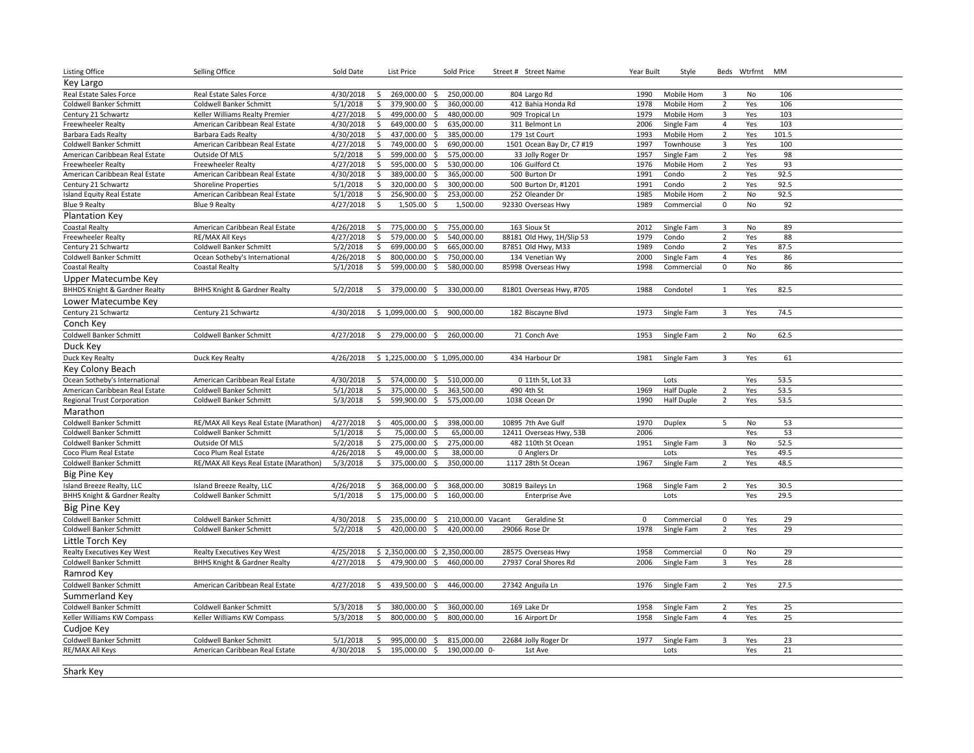| <b>Listing Office</b>                    | Selling Office                                     | Sold Date             |          | List Price                             | Sold Price        | Street # Street Name            | Year Built | Style              |                                  | Beds Wtrfrnt MM |              |  |
|------------------------------------------|----------------------------------------------------|-----------------------|----------|----------------------------------------|-------------------|---------------------------------|------------|--------------------|----------------------------------|-----------------|--------------|--|
| Key Largo                                |                                                    |                       |          |                                        |                   |                                 |            |                    |                                  |                 |              |  |
| Real Estate Sales Force                  | Real Estate Sales Force                            | 4/30/2018             | Ŝ.       | 269,000.00 \$ 250,000.00               |                   | 804 Largo Rd                    | 1990       | Mobile Hom         | 3                                | <b>No</b>       | 106          |  |
| <b>Coldwell Banker Schmitt</b>           | Coldwell Banker Schmitt                            | 5/1/2018              | \$       | 379,900.00<br>S.                       | 360,000.00        | 412 Bahia Honda Rd              | 1978       | Mobile Hom         | $\overline{2}$                   | Yes             | 106          |  |
| Century 21 Schwartz                      | Keller Williams Realty Premier                     | 4/27/2018             | \$       | 499,000.00<br>S.                       | 480,000.00        | 909 Tropical Ln                 | 1979       | Mobile Hom         | $\overline{3}$                   | Yes             | 103          |  |
| Freewheeler Realty                       | American Caribbean Real Estate                     | 4/30/2018             | \$       | 649,000.00<br>\$                       | 635,000.00        | 311 Belmont Ln                  | 2006       | Single Fam         | $\overline{4}$                   | Yes             | 103          |  |
| Barbara Eads Realty                      | Barbara Eads Realty                                | 4/30/2018             | \$       | 437,000.00<br>\$                       | 385,000.00        | 179 1st Court                   | 1993       | Mobile Hom         | $\overline{2}$                   | Yes             | 101.5        |  |
| Coldwell Banker Schmitt                  | American Caribbean Real Estate                     | 4/27/2018             | \$       | 749,000.00<br>\$                       | 690,000.00        | 1501 Ocean Bay Dr, C7 #19       | 1997       | Townhouse          | $\overline{3}$                   | Yes             | 100          |  |
| American Caribbean Real Estate           | Outside Of MLS                                     | 5/2/2018              | \$       | 599,000.00 \$                          | 575,000.00        | 33 Jolly Roger Dr               | 1957       | Single Fam         | $\overline{2}$                   | Yes             | 98           |  |
| <b>Freewheeler Realty</b>                | Freewheeler Realty                                 | 4/27/2018             | \$       | 595,000.00 \$                          | 530,000.00        | 106 Guilford Ct                 | 1976       | Mobile Hom         | $\overline{2}$                   | Yes             | 93           |  |
| American Caribbean Real Estate           | American Caribbean Real Estate                     | 4/30/2018             | \$       | 389,000.00 \$                          | 365,000.00        | 500 Burton Dr                   | 1991       | Condo              | $\overline{2}$                   | Yes             | 92.5         |  |
| Century 21 Schwartz                      | <b>Shoreline Properties</b>                        | 5/1/2018              | \$       | 320,000.00 \$                          | 300,000.00        | 500 Burton Dr, #1201            | 1991       | Condo              | $\overline{2}$                   | Yes             | 92.5         |  |
| Island Equity Real Estate                | American Caribbean Real Estate                     | 5/1/2018              | \$       | 256,900.00 \$                          | 253,000.00        | 252 Oleander Dr                 | 1985       | Mobile Hom         | $\overline{2}$                   | No              | 92.5         |  |
| <b>Blue 9 Realty</b>                     | <b>Blue 9 Realty</b>                               | 4/27/2018             | \$       | $1,505.00$ \$                          | 1,500.00          | 92330 Overseas Hwy              | 1989       | Commercial         | 0                                | No              | 92           |  |
| <b>Plantation Key</b>                    |                                                    |                       |          |                                        |                   |                                 |            |                    |                                  |                 |              |  |
| <b>Coastal Realty</b>                    | American Caribbean Real Estate                     | 4/26/2018             | \$       | 775,000.00 \$                          | 755,000.00        | 163 Sioux St                    | 2012       | Single Fam         | $\overline{3}$                   | No              | 89           |  |
| <b>Freewheeler Realty</b>                | RE/MAX All Keys                                    | 4/27/2018             | \$       | 579,000.00<br>$\ddot{\mathsf{S}}$      | 540,000.00        | 88181 Old Hwy, 1H/Slip 53       | 1979       | Condo              | $\overline{2}$                   | Yes             | 88           |  |
| Century 21 Schwartz                      | Coldwell Banker Schmitt                            | 5/2/2018              | \$       | 699,000.00<br>\$                       | 665,000.00        | 87851 Old Hwy, M33              | 1989       | Condo              | $\overline{2}$                   | Yes             | 87.5         |  |
| Coldwell Banker Schmitt                  | Ocean Sotheby's International                      | 4/26/2018             | \$       | 800.000.00<br>s.                       | 750,000.00        | 134 Venetian Wy                 | 2000       | Single Fam         | $\overline{4}$                   | Yes             | 86           |  |
| <b>Coastal Realty</b>                    | <b>Coastal Realty</b>                              | 5/1/2018              | \$       | 599,000.00<br>\$                       | 580,000.00        | 85998 Overseas Hwy              | 1998       | Commercial         | 0                                | No              | 86           |  |
|                                          |                                                    |                       |          |                                        |                   |                                 |            |                    |                                  |                 |              |  |
| Upper Matecumbe Key                      |                                                    |                       |          |                                        |                   |                                 |            |                    |                                  |                 |              |  |
| <b>BHHDS Knight &amp; Gardner Realty</b> | <b>BHHS Knight &amp; Gardner Realty</b>            | 5/2/2018              | \$       | 379,000.00 \$                          | 330,000.00        | 81801 Overseas Hwy, #705        | 1988       | Condotel           | 1                                | Yes             | 82.5         |  |
| Lower Matecumbe Key                      |                                                    |                       |          |                                        |                   |                                 |            |                    |                                  |                 |              |  |
| Century 21 Schwartz                      | Century 21 Schwartz                                | 4/30/2018             |          | \$1,099,000.00<br>\$                   | 900,000.00        | 182 Biscayne Blvd               | 1973       | Single Fam         | $\overline{3}$                   | Yes             | 74.5         |  |
| Conch Key                                |                                                    |                       |          |                                        |                   |                                 |            |                    |                                  |                 |              |  |
| Coldwell Banker Schmitt                  | Coldwell Banker Schmitt                            | 4/27/2018             | \$       | 279,000.00 \$                          | 260,000.00        | 71 Conch Ave                    | 1953       | Single Fam         | $\overline{2}$                   | No              | 62.5         |  |
| Duck Key                                 |                                                    |                       |          |                                        |                   |                                 |            |                    |                                  |                 |              |  |
| Duck Key Realty                          | Duck Key Realty                                    | 4/26/2018             |          | $$1,225,000.00$$ $$1,095,000.00$       |                   | 434 Harbour Dr                  | 1981       | Single Fam         | 3                                | Yes             | 61           |  |
| Key Colony Beach                         |                                                    |                       |          |                                        |                   |                                 |            |                    |                                  |                 |              |  |
|                                          |                                                    |                       |          |                                        |                   |                                 |            |                    |                                  |                 |              |  |
| Ocean Sotheby's International            | American Caribbean Real Estate                     | 4/30/2018<br>5/1/2018 | \$<br>\$ | 574,000.00 \$ 510,000.00<br>375,000.00 | 363,500.00        | 0 11th St, Lot 33<br>490 4th St | 1969       | Lots<br>Half Duple |                                  | Yes<br>Yes      | 53.5<br>53.5 |  |
| American Caribbean Real Estate           | Coldwell Banker Schmitt<br>Coldwell Banker Schmitt | 5/3/2018              | \$       | \$<br>\$                               |                   | 1038 Ocean Dr                   | 1990       | Half Duple         | $\overline{2}$<br>$\overline{2}$ | Yes             | 53.5         |  |
| <b>Regional Trust Corporation</b>        |                                                    |                       |          | 599,900.00                             | 575,000.00        |                                 |            |                    |                                  |                 |              |  |
| Marathon                                 |                                                    |                       |          |                                        |                   |                                 |            |                    |                                  |                 |              |  |
| Coldwell Banker Schmitt                  | RE/MAX All Keys Real Estate (Marathon)             | 4/27/2018             | \$       | 405,000.00<br>\$                       | 398,000.00        | 10895 7th Ave Gulf              | 1970       | Duplex             | 5                                | No              | 53           |  |
| <b>Coldwell Banker Schmitt</b>           | Coldwell Banker Schmitt                            | 5/1/2018              | \$       | 75,000.00<br>s.                        | 65,000.00         | 12411 Overseas Hwy, 53B         | 2006       |                    |                                  | Yes             | 53           |  |
| Coldwell Banker Schmitt                  | Outside Of MLS                                     | 5/2/2018              | \$       | 275,000.00<br>$\frac{1}{2}$            | 275,000.00        | 482 110th St Ocean              | 1951       | Single Fam         | $\overline{3}$                   | No              | 52.5         |  |
| Coco Plum Real Estate                    | Coco Plum Real Estate                              | 4/26/2018             | Ś.       | 49,000.00<br>- Ś                       | 38,000.00         | 0 Anglers Dr                    |            | Lots               |                                  | Yes             | 49.5         |  |
| Coldwell Banker Schmitt                  | RE/MAX All Keys Real Estate (Marathon)             | 5/3/2018              | Ŝ.       | 375,000.00<br>\$                       | 350,000.00        | 1117 28th St Ocean              | 1967       | Single Fam         | $\overline{2}$                   | Yes             | 48.5         |  |
| <b>Big Pine Key</b>                      |                                                    |                       |          |                                        |                   |                                 |            |                    |                                  |                 |              |  |
| Island Breeze Realty, LLC                | Island Breeze Realty, LLC                          | 4/26/2018             | \$       | 368,000.00<br>- \$                     | 368,000.00        | 30819 Baileys Ln                | 1968       | Single Fam         | $\overline{2}$                   | Yes             | 30.5         |  |
| <b>BHHS Knight &amp; Gardner Realty</b>  | Coldwell Banker Schmitt                            | 5/1/2018              | Ŝ.       | 175,000.00<br>\$                       | 160,000.00        | <b>Enterprise Ave</b>           |            | Lots               |                                  | Yes             | 29.5         |  |
| <b>Big Pine Key</b>                      |                                                    |                       |          |                                        |                   |                                 |            |                    |                                  |                 |              |  |
| <b>Coldwell Banker Schmitt</b>           | Coldwell Banker Schmitt                            | 4/30/2018             | \$       | 235,000.00 \$                          | 210,000.00 Vacant | Geraldine St                    | $\Omega$   | Commercial         | 0                                | Yes             | 29           |  |
| <b>Coldwell Banker Schmitt</b>           | Coldwell Banker Schmitt                            | 5/2/2018              | \$       | 420,000.00 \$                          | 420,000.00        | 29066 Rose Dr                   | 1978       | Single Fam         | $\overline{2}$                   | Yes             | 29           |  |
| Little Torch Key                         |                                                    |                       |          |                                        |                   |                                 |            |                    |                                  |                 |              |  |
|                                          |                                                    | 4/25/2018             |          |                                        |                   |                                 | 1958       |                    |                                  | No              | 29           |  |
| <b>Realty Executives Key West</b>        | Realty Executives Key West                         |                       |          | $$2,350,000.00$$ $$2,350,000.00$       |                   | 28575 Overseas Hwy              |            | Commercial         | 0                                |                 |              |  |
| Coldwell Banker Schmitt                  | <b>BHHS Knight &amp; Gardner Realty</b>            | 4/27/2018             | \$       | 479,900.00 \$                          | 460,000.00        | 27937 Coral Shores Rd           | 2006       | Single Fam         | 3                                | Yes             | 28           |  |
| Ramrod Key                               |                                                    |                       |          |                                        |                   |                                 |            |                    |                                  |                 |              |  |
| Coldwell Banker Schmitt                  | American Caribbean Real Estate                     | 4/27/2018             | \$       | 439,500.00 \$                          | 446,000.00        | 27342 Anguila Ln                | 1976       | Single Fam         | $\overline{2}$                   | Yes             | 27.5         |  |
| Summerland Key                           |                                                    |                       |          |                                        |                   |                                 |            |                    |                                  |                 |              |  |
| Coldwell Banker Schmitt                  | Coldwell Banker Schmitt                            | 5/3/2018              | \$       | 380,000.00<br>\$                       | 360,000.00        | 169 Lake Dr                     | 1958       | Single Fam         | $\overline{2}$                   | Yes             | 25           |  |
| Keller Williams KW Compass               | Keller Williams KW Compass                         | 5/3/2018              | \$       | 800,000.00 \$                          | 800,000.00        | 16 Airport Dr                   | 1958       | Single Fam         | $\overline{4}$                   | Yes             | 25           |  |
| Cudjoe Key                               |                                                    |                       |          |                                        |                   |                                 |            |                    |                                  |                 |              |  |
| Coldwell Banker Schmitt                  | Coldwell Banker Schmitt                            | 5/1/2018              | \$       | 995,000.00 \$                          | 815,000.00        | 22684 Jolly Roger Dr            | 1977       | Single Fam         | 3                                | Yes             | 23           |  |
| RE/MAX All Keys                          | American Caribbean Real Estate                     | 4/30/2018             | \$       | 195,000.00 \$ 190,000.00 0-            |                   | 1st Ave                         |            | Lots               |                                  | Yes             | 21           |  |
|                                          |                                                    |                       |          |                                        |                   |                                 |            |                    |                                  |                 |              |  |

Shark Key